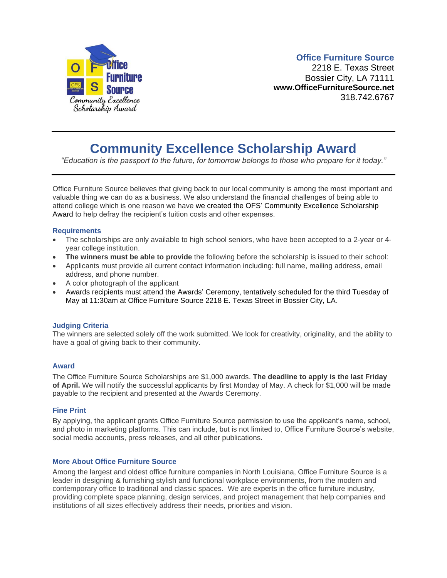

### **Office Furniture Source**

2218 E. Texas Street Bossier City, LA 71111 **www.OfficeFurnitureSource.net** 318.742.6767

## **Community Excellence Scholarship Award**

*"Education is the passport to the future, for tomorrow belongs to those who prepare for it today."*

Office Furniture Source believes that giving back to our local community is among the most important and valuable thing we can do as a business. We also understand the financial challenges of being able to attend college which is one reason we have we created the OFS' Community Excellence Scholarship Award to help defray the recipient's tuition costs and other expenses.

#### **Requirements**

- The scholarships are only available to high school seniors, who have been accepted to a 2-year or 4 year college institution.
- **The winners must be able to provide** the following before the scholarship is issued to their school:
- Applicants must provide all current contact information including: full name, mailing address, email address, and phone number.
- A color photograph of the applicant
- Awards recipients must attend the Awards' Ceremony, tentatively scheduled for the third Tuesday of May at 11:30am at Office Furniture Source 2218 E. Texas Street in Bossier City, LA.

#### **Judging Criteria**

The winners are selected solely off the work submitted. We look for creativity, originality, and the ability to have a goal of giving back to their community.

#### **Award**

The Office Furniture Source Scholarships are \$1,000 awards. **The deadline to apply is the last Friday of April.** We will notify the successful applicants by first Monday of May. A check for \$1,000 will be made payable to the recipient and presented at the Awards Ceremony.

#### **Fine Print**

By applying, the applicant grants Office Furniture Source permission to use the applicant's name, school, and photo in marketing platforms. This can include, but is not limited to, Office Furniture Source's website, social media accounts, press releases, and all other publications.

#### **More About Office Furniture Source**

Among the largest and oldest office furniture companies in North Louisiana, Office Furniture Source is a leader in designing & furnishing stylish and functional workplace environments, from the modern and contemporary office to traditional and classic spaces. We are experts in the office furniture industry, providing complete space planning, design services, and project management that help companies and institutions of all sizes effectively address their needs, priorities and vision.